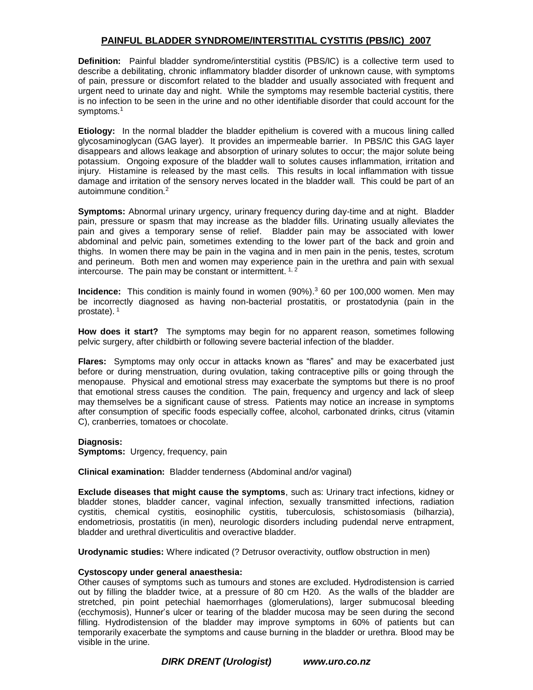# **PAINFUL BLADDER SYNDROME/INTERSTITIAL CYSTITIS (PBS/IC) 2007**

**Definition:** Painful bladder syndrome/interstitial cystitis (PBS/IC) is a collective term used to describe a debilitating, chronic inflammatory bladder disorder of unknown cause, with symptoms of pain, pressure or discomfort related to the bladder and usually associated with frequent and urgent need to urinate day and night. While the symptoms may resemble bacterial cystitis, there is no infection to be seen in the urine and no other identifiable disorder that could account for the symptoms.<sup>1</sup>

**Etiology:** In the normal bladder the bladder epithelium is covered with a mucous lining called glycosaminoglycan (GAG layer). It provides an impermeable barrier. In PBS/IC this GAG layer disappears and allows leakage and absorption of urinary solutes to occur; the major solute being potassium. Ongoing exposure of the bladder wall to solutes causes inflammation, irritation and injury. Histamine is released by the mast cells. This results in local inflammation with tissue damage and irritation of the sensory nerves located in the bladder wall. This could be part of an autoimmune condition.<sup>2</sup>

**Symptoms:** Abnormal urinary urgency, urinary frequency during day-time and at night. Bladder pain, pressure or spasm that may increase as the bladder fills. Urinating usually alleviates the pain and gives a temporary sense of relief. Bladder pain may be associated with lower abdominal and pelvic pain, sometimes extending to the lower part of the back and groin and thighs. In women there may be pain in the vagina and in men pain in the penis, testes, scrotum and perineum. Both men and women may experience pain in the urethra and pain with sexual intercourse. The pain may be constant or intermittent.  $1, 2$ 

**Incidence:** This condition is mainly found in women (90%). <sup>3</sup> 60 per 100,000 women. Men may be incorrectly diagnosed as having non-bacterial prostatitis, or prostatodynia (pain in the prostate).<sup>1</sup>

**How does it start?** The symptoms may begin for no apparent reason, sometimes following pelvic surgery, after childbirth or following severe bacterial infection of the bladder.

**Flares:** Symptoms may only occur in attacks known as "flares" and may be exacerbated just before or during menstruation, during ovulation, taking contraceptive pills or going through the menopause. Physical and emotional stress may exacerbate the symptoms but there is no proof that emotional stress causes the condition. The pain, frequency and urgency and lack of sleep may themselves be a significant cause of stress. Patients may notice an increase in symptoms after consumption of specific foods especially coffee, alcohol, carbonated drinks, citrus (vitamin C), cranberries, tomatoes or chocolate.

### **Diagnosis:**

**Symptoms:** Urgency, frequency, pain

**Clinical examination:** Bladder tenderness (Abdominal and/or vaginal)

**Exclude diseases that might cause the symptoms**, such as: Urinary tract infections, kidney or bladder stones, bladder cancer, vaginal infection, sexually transmitted infections, radiation cystitis, chemical cystitis, eosinophilic cystitis, tuberculosis, schistosomiasis (bilharzia), endometriosis, prostatitis (in men), neurologic disorders including pudendal nerve entrapment, bladder and urethral diverticulitis and overactive bladder.

**Urodynamic studies:** Where indicated (? Detrusor overactivity, outflow obstruction in men)

#### **Cystoscopy under general anaesthesia:**

Other causes of symptoms such as tumours and stones are excluded. Hydrodistension is carried out by filling the bladder twice, at a pressure of 80 cm H20. As the walls of the bladder are stretched, pin point petechial haemorrhages (glomerulations), larger submucosal bleeding (ecchymosis), Hunner's ulcer or tearing of the bladder mucosa may be seen during the second filling. Hydrodistension of the bladder may improve symptoms in 60% of patients but can temporarily exacerbate the symptoms and cause burning in the bladder or urethra. Blood may be visible in the urine.